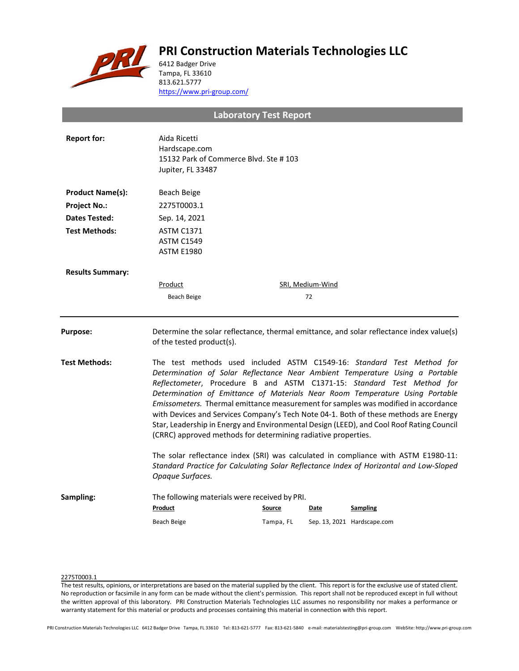# **PRI Construction Materials Technologies LLC**



6412 Badger Drive Tampa, FL 33610 813.621.5777 <https://www.pri-group.com/>

**Laboratory Test Report**

| <b>Report for:</b>      | Aida Ricetti<br>Hardscape.com<br>15132 Park of Commerce Blvd. Ste #103<br>Jupiter, FL 33487                                                                                                                                                                                                                                                                                                                                                                                                                                                                                                                                                                 |           |                  |                             |  |
|-------------------------|-------------------------------------------------------------------------------------------------------------------------------------------------------------------------------------------------------------------------------------------------------------------------------------------------------------------------------------------------------------------------------------------------------------------------------------------------------------------------------------------------------------------------------------------------------------------------------------------------------------------------------------------------------------|-----------|------------------|-----------------------------|--|
| <b>Product Name(s):</b> | Beach Beige                                                                                                                                                                                                                                                                                                                                                                                                                                                                                                                                                                                                                                                 |           |                  |                             |  |
| <b>Project No.:</b>     | 2275T0003.1                                                                                                                                                                                                                                                                                                                                                                                                                                                                                                                                                                                                                                                 |           |                  |                             |  |
| <b>Dates Tested:</b>    | Sep. 14, 2021                                                                                                                                                                                                                                                                                                                                                                                                                                                                                                                                                                                                                                               |           |                  |                             |  |
| <b>Test Methods:</b>    | <b>ASTM C1371</b><br><b>ASTM C1549</b><br><b>ASTM E1980</b>                                                                                                                                                                                                                                                                                                                                                                                                                                                                                                                                                                                                 |           |                  |                             |  |
| <b>Results Summary:</b> |                                                                                                                                                                                                                                                                                                                                                                                                                                                                                                                                                                                                                                                             |           |                  |                             |  |
|                         | Product                                                                                                                                                                                                                                                                                                                                                                                                                                                                                                                                                                                                                                                     |           | SRI, Medium-Wind |                             |  |
|                         | Beach Beige                                                                                                                                                                                                                                                                                                                                                                                                                                                                                                                                                                                                                                                 |           | 72               |                             |  |
| <b>Purpose:</b>         | Determine the solar reflectance, thermal emittance, and solar reflectance index value(s)<br>of the tested product(s).                                                                                                                                                                                                                                                                                                                                                                                                                                                                                                                                       |           |                  |                             |  |
| <b>Test Methods:</b>    | The test methods used included ASTM C1549-16: Standard Test Method for<br>Determination of Solar Reflectance Near Ambient Temperature Using a Portable<br>Reflectometer, Procedure B and ASTM C1371-15: Standard Test Method for<br>Determination of Emittance of Materials Near Room Temperature Using Portable<br>Emissometers. Thermal emittance measurement for samples was modified in accordance<br>with Devices and Services Company's Tech Note 04-1. Both of these methods are Energy<br>Star, Leadership in Energy and Environmental Design (LEED), and Cool Roof Rating Council<br>(CRRC) approved methods for determining radiative properties. |           |                  |                             |  |
|                         | The solar reflectance index (SRI) was calculated in compliance with ASTM E1980-11:<br>Standard Practice for Calculating Solar Reflectance Index of Horizontal and Low-Sloped<br>Opaque Surfaces.                                                                                                                                                                                                                                                                                                                                                                                                                                                            |           |                  |                             |  |
| Sampling:               | The following materials were received by PRI.<br>Product                                                                                                                                                                                                                                                                                                                                                                                                                                                                                                                                                                                                    | Source    | Date             | <b>Sampling</b>             |  |
|                         | Beach Beige                                                                                                                                                                                                                                                                                                                                                                                                                                                                                                                                                                                                                                                 | Tampa, FL |                  | Sep. 13, 2021 Hardscape.com |  |

## 2275T0003.1

The test results, opinions, or interpretations are based on the material supplied by the client. This report is for the exclusive use of stated client. No reproduction or facsimile in any form can be made without the client's permission. This report shall not be reproduced except in full without the written approval of this laboratory. PRI Construction Materials Technologies LLC assumes no responsibility nor makes a performance or warranty statement for this material or products and processes containing this material in connection with this report.

PRI Construction Materials Technologies LLC 6412 Badger Drive Tampa, FL 33610 Tel: 813-621-5777 Fax: 813-621-5840 e-mail: materialstesting@pri-group.com WebSite: http://www.pri-group.com